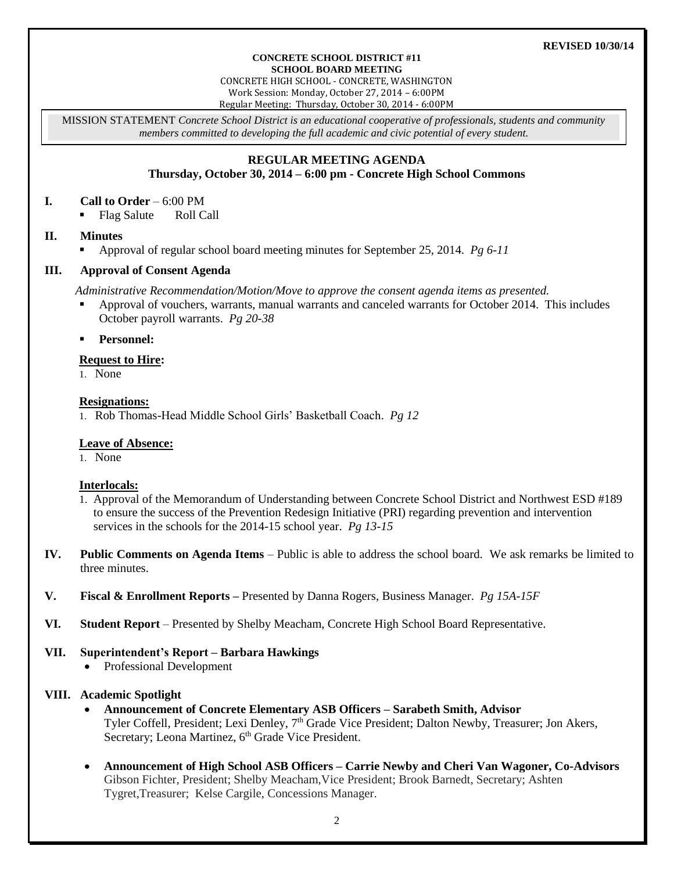#### **REVISED 10/30/14**

#### **CONCRETE SCHOOL DISTRICT #11 SCHOOL BOARD MEETING**

CONCRETE HIGH SCHOOL - CONCRETE, WASHINGTON Work Session: Monday, October 27, 2014 – 6:00PM

Regular Meeting: Thursday, October 30, 2014 - 6:00PM

MISSION STATEMENT *Concrete School District is an educational cooperative of professionals, students and community members committed to developing the full academic and civic potential of every student.*

# **REGULAR MEETING AGENDA**

## **Thursday, October 30, 2014 – 6:00 pm - Concrete High School Commons**

#### **I. Call to Order** – 6:00 PM

• Flag Salute Roll Call

## **II. Minutes**

Approval of regular school board meeting minutes for September 25, 2014. *Pg 6-11*

## **III. Approval of Consent Agenda**

*Administrative Recommendation/Motion/Move to approve the consent agenda items as presented.*

- Approval of vouchers, warrants, manual warrants and canceled warrants for October 2014. This includes October payroll warrants. *Pg 20-38*
- **Personnel:**

## **Request to Hire:**

1. None

### **Resignations:**

1. Rob Thomas-Head Middle School Girls' Basketball Coach. *Pg 12*

## **Leave of Absence:**

1. None

## **Interlocals:**

- 1. Approval of the Memorandum of Understanding between Concrete School District and Northwest ESD #189 to ensure the success of the Prevention Redesign Initiative (PRI) regarding prevention and intervention services in the schools for the 2014-15 school year. *Pg 13-15*
- **IV. Public Comments on Agenda Items** Public is able to address the school board. We ask remarks be limited to three minutes.
- **V. Fiscal & Enrollment Reports –** Presented by Danna Rogers, Business Manager. *Pg 15A-15F*
- **VI. Student Report** Presented by Shelby Meacham, Concrete High School Board Representative.

## **VII. Superintendent's Report – Barbara Hawkings**

• Professional Development

## **VIII. Academic Spotlight**

- **Announcement of Concrete Elementary ASB Officers – Sarabeth Smith, Advisor** Tyler Coffell, President; Lexi Denley, 7<sup>th</sup> Grade Vice President; Dalton Newby, Treasurer; Jon Akers, Secretary; Leona Martinez, 6<sup>th</sup> Grade Vice President.
- **Announcement of High School ASB Officers – Carrie Newby and Cheri Van Wagoner, Co-Advisors** Gibson Fichter, President; Shelby Meacham,Vice President; Brook Barnedt, Secretary; Ashten Tygret,Treasurer; Kelse Cargile, Concessions Manager.